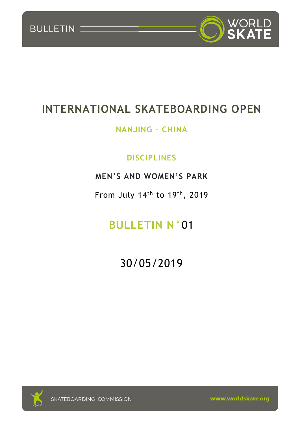



# **INTERNATIONAL SKATEBOARDING OPEN**

# **NANJING – CHINA**

# **DISCIPLINES**

# **MEN'S AND WOMEN'S PARK**

From July 14<sup>th</sup> to 19<sup>th</sup>, 2019

# **BULLETIN N°**01

30/05/2019

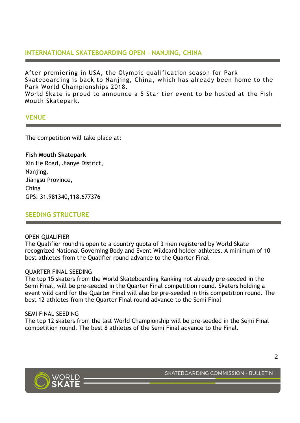# **INTERNATIONAL SKATEBOARDING OPEN – NANJING, CHINA**

After premiering in USA, the Olympic qualification season for Park Skateboarding is back to Nanjing, China, which has already been home to the Park World Championships 2018.

World Skate is proud to announce a 5 Star tier event to be hosted at the Fish Mouth Skatepark.

### **VENUE**

The competition will take place at:

**Fish Mouth Skatepark** Xin He Road, Jianye District, Nanjing, Jiangsu Province, China GPS: 31.981340,118.677376

## **SEEDING STRUCTURE**

#### OPEN QUALIFIER

The Qualifier round is open to a country quota of 3 men registered by World Skate recognized National Governing Body and Event Wildcard holder athletes. A minimum of 10 best athletes from the Qualifier round advance to the Quarter Final

#### QUARTER FINAL SEEDING

The top 15 skaters from the World Skateboarding Ranking not already pre-seeded in the Semi Final, will be pre-seeded in the Quarter Final competition round. Skaters holding a event wild card for the Quarter Final will also be pre-seeded in this competition round. The best 12 athletes from the Quarter Final round advance to the Semi Final

#### SEMI FINAL SEEDING

The top 12 skaters from the last World Championship will be pre-seeded in the Semi Final competition round. The best 8 athletes of the Semi Final advance to the Final.

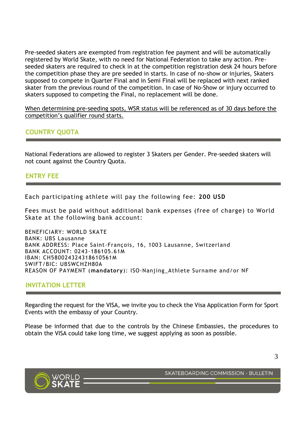Pre-seeded skaters are exempted from registration fee payment and will be automatically registered by World Skate, with no need for National Federation to take any action. Preseeded skaters are required to check in at the competition registration desk 24 hours before the competition phase they are pre seeded in starts. In case of no-show or injuries, Skaters supposed to compete in Quarter Final and in Semi Final will be replaced with next ranked skater from the previous round of the competition. In case of No-Show or injury occurred to skaters supposed to competing the Final, no replacement will be done.

When determining pre-seeding spots, WSR status will be referenced as of 30 days before the competition's qualifier round starts.

# **COUNTRY QUOTA**

National Federations are allowed to register 3 Skaters per Gender. Pre-seeded skaters will not count against the Country Quota.

## **ENTRY FEE**

Each participating athlete will pay the following fee: **200 USD**

Fees must be paid without additional bank expenses (free of charge) to World Skate at the following bank account:

BENEFICIARY: WORLD SKATE BANK: UBS Lausanne BANK ADDRESS: Place Saint-François, 16, 1003 Lausanne, Switzerland BANK ACCOUNT: 0243-186105.61M IBAN: CH580024324318610561M SWIFT/BIC: UBSWCHZH80A REASON OF PAYMENT (**mandatory**): ISO-Nanjing\_Athlete Surname and/or NF

## **INVITATION LETTER**

Regarding the request for the VISA, we invite you to check the Visa Application Form for Sport Events with the embassy of your Country.

Please be informed that due to the controls by the Chinese Embassies, the procedures to obtain the VISA could take long time, we suggest applying as soon as possible.

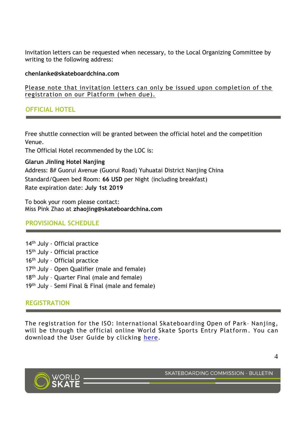Invitation letters can be requested when necessary, to the Local Organizing Committee by writing to the following address:

#### **chenlanke@skateboardchina.com**

Please note that invitation letters can only be issued upon completion of the registration on our Platform (when due).

# **OFFICIAL HOTEL**

Free shuttle connection will be granted between the official hotel and the competition Venue.

The Official Hotel recommended by the LOC is:

**Glarun Jinling Hotel Nanjing** Address: 8# Guorui Avenue (Guorui Road) Yuhuatai District Nanjing China Standard/Queen bed Room: **66 USD** per Night (including breakfast) Rate expiration date: **July 1st 2019**

To book your room please contact: Miss Pink Zhao at **[zhaojing@skateboardchina.com](mailto:zhaojing@skateboardchina.com)**

## **PROVISIONAL SCHEDULE**

- 14<sup>th</sup> July Official practice 15th July - Official practice 16<sup>th</sup> July - Official practice 17<sup>th</sup> July - Open Qualifier (male and female) 18<sup>th</sup> July - Quarter Final (male and female)
- 19<sup>th</sup> July Semi Final & Final (male and female)

# **REGISTRATION**

The registration for the ISO: International Skateboarding Open of Park– Nanjing, will be through the official online World Skate Sports Entry Platform. You can download the User Guide by clicking [here.](https://platform.worldskate.org/web/files/World_Skate_Sports_Entry_Platform_User_Guide.pdf)



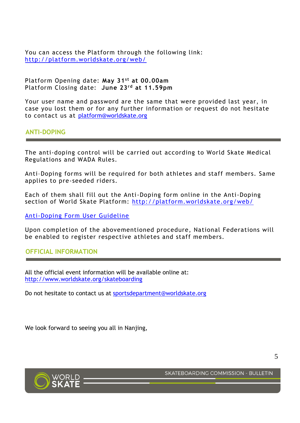You can access the Platform through the following link: <http://platform.worldskate.org/web/>

Platform Opening date: **May 31 st at 00.00am** Platform Closing date: **June 23rd at 11.59pm**

Your user name and password are the same that were provided last year, in case you lost them or for any further information or request do not hesitate to contact us at [platform@worldskate.org](mailto:platform@worldskate.org)

**ANTI-DOPING**

The anti-doping control will be carried out according to World Skate Medical Regulations and WADA Rules.

Anti–Doping forms will be required for both athletes and staff members. Same applies to pre-seeded riders.

Each of them shall fill out the Anti-Doping form online in the Anti-Doping section of World Skate Platform:<http://platform.worldskate.org/web/>

[Anti-Doping Form User Guideline](http://platform.worldskate.org/web/files/Anti-Doping%20Form%20User%20Guide.pdf)

Upon completion of the abovementioned procedure, National Federations will be enabled to register respective athletes and staff me mbers.

**OFFICIAL INFORMATION**

All the official event information will be available online at: <http://www.worldskate.org/skateboarding>

Do not hesitate to contact us at [sportsdepartment@worldskate.org](mailto:sportsdepartment@worldskate.org)

We look forward to seeing you all in Nanjing,